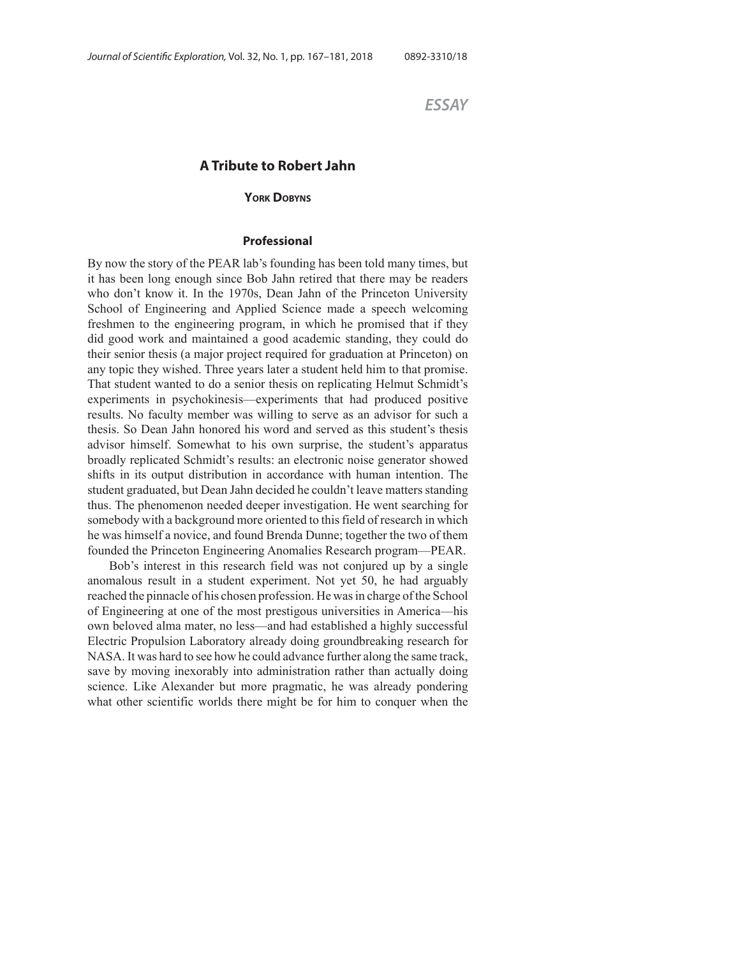*ESSAY*

# **A Tribute to Robert Jahn**

### **YORK DOBYNS**

### **Professional**

By now the story of the PEAR lab's founding has been told many times, but it has been long enough since Bob Jahn retired that there may be readers who don't know it. In the 1970s, Dean Jahn of the Princeton University School of Engineering and Applied Science made a speech welcoming freshmen to the engineering program, in which he promised that if they did good work and maintained a good academic standing, they could do their senior thesis (a major project required for graduation at Princeton) on any topic they wished. Three years later a student held him to that promise. That student wanted to do a senior thesis on replicating Helmut Schmidt's experiments in psychokinesis—experiments that had produced positive results. No faculty member was willing to serve as an advisor for such a thesis. So Dean Jahn honored his word and served as this student's thesis advisor himself. Somewhat to his own surprise, the student's apparatus broadly replicated Schmidt's results: an electronic noise generator showed shifts in its output distribution in accordance with human intention. The student graduated, but Dean Jahn decided he couldn't leave matters standing thus. The phenomenon needed deeper investigation. He went searching for somebody with a background more oriented to this field of research in which he was himself a novice, and found Brenda Dunne; together the two of them founded the Princeton Engineering Anomalies Research program—PEAR.

Bob's interest in this research field was not conjured up by a single anomalous result in a student experiment. Not yet 50, he had arguably reached the pinnacle of his chosen profession. He was in charge of the School of Engineering at one of the most prestigous universities in America—his own beloved alma mater, no less—and had established a highly successful Electric Propulsion Laboratory already doing groundbreaking research for NASA. It was hard to see how he could advance further along the same track, save by moving inexorably into administration rather than actually doing science. Like Alexander but more pragmatic, he was already pondering what other scientific worlds there might be for him to conquer when the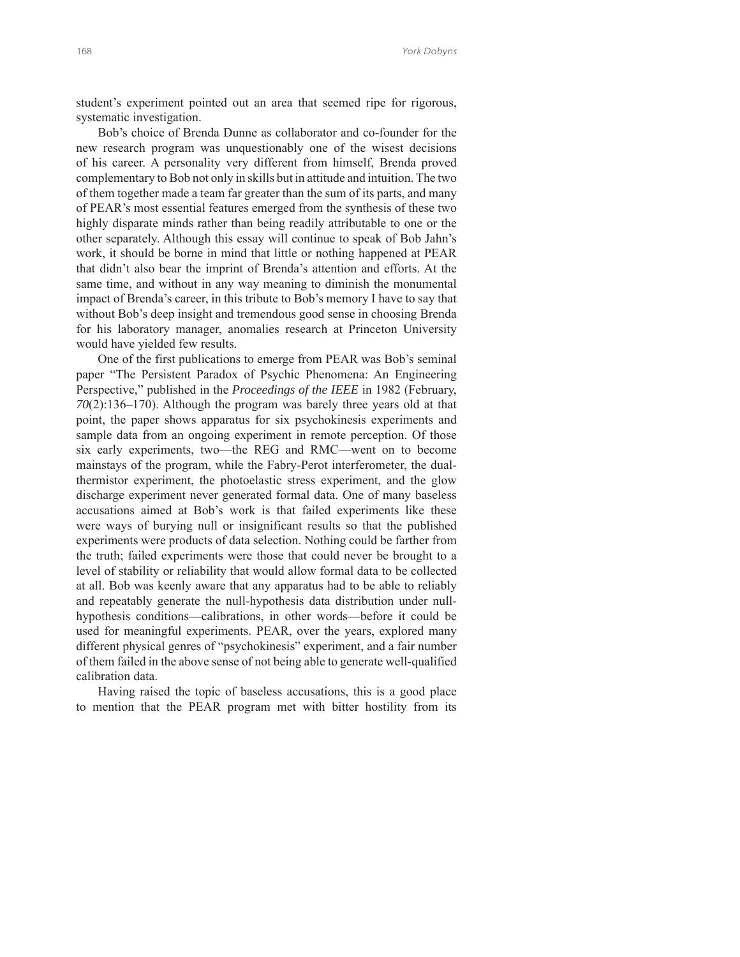student's experiment pointed out an area that seemed ripe for rigorous, systematic investigation.

Bob's choice of Brenda Dunne as collaborator and co-founder for the new research program was unquestionably one of the wisest decisions of his career. A personality very different from himself, Brenda proved complementary to Bob not only in skills but in attitude and intuition. The two of them together made a team far greater than the sum of its parts, and many of PEAR's most essential features emerged from the synthesis of these two highly disparate minds rather than being readily attributable to one or the other separately. Although this essay will continue to speak of Bob Jahn's work, it should be borne in mind that little or nothing happened at PEAR that didn't also bear the imprint of Brenda's attention and efforts. At the same time, and without in any way meaning to diminish the monumental impact of Brenda's career, in this tribute to Bob's memory I have to say that without Bob's deep insight and tremendous good sense in choosing Brenda for his laboratory manager, anomalies research at Princeton University would have yielded few results.

One of the first publications to emerge from PEAR was Bob's seminal paper "The Persistent Paradox of Psychic Phenomena: An Engineering Perspective," published in the *Proceedings of the IEEE* in 1982 (February, *70*(2):136–170). Although the program was barely three years old at that point, the paper shows apparatus for six psychokinesis experiments and sample data from an ongoing experiment in remote perception. Of those six early experiments, two—the REG and RMC—went on to become mainstays of the program, while the Fabry-Perot interferometer, the dualthermistor experiment, the photoelastic stress experiment, and the glow discharge experiment never generated formal data. One of many baseless accusations aimed at Bob's work is that failed experiments like these were ways of burying null or insignificant results so that the published experiments were products of data selection. Nothing could be farther from the truth; failed experiments were those that could never be brought to a level of stability or reliability that would allow formal data to be collected at all. Bob was keenly aware that any apparatus had to be able to reliably and repeatably generate the null-hypothesis data distribution under nullhypothesis conditions—calibrations, in other words—before it could be used for meaningful experiments. PEAR, over the years, explored many different physical genres of "psychokinesis" experiment, and a fair number of them failed in the above sense of not being able to generate well-qualified calibration data.

Having raised the topic of baseless accusations, this is a good place to mention that the PEAR program met with bitter hostility from its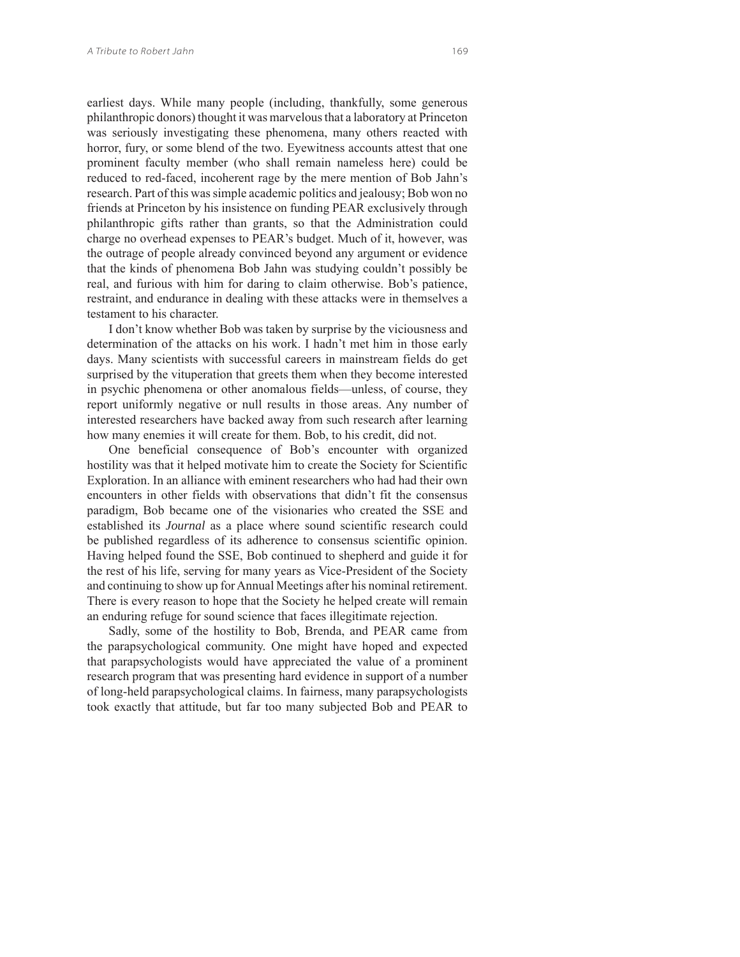earliest days. While many people (including, thankfully, some generous philanthropic donors) thought it was marvelous that a laboratory at Princeton was seriously investigating these phenomena, many others reacted with horror, fury, or some blend of the two. Eyewitness accounts attest that one prominent faculty member (who shall remain nameless here) could be reduced to red-faced, incoherent rage by the mere mention of Bob Jahn's research. Part of this was simple academic politics and jealousy; Bob won no friends at Princeton by his insistence on funding PEAR exclusively through philanthropic gifts rather than grants, so that the Administration could charge no overhead expenses to PEAR's budget. Much of it, however, was the outrage of people already convinced beyond any argument or evidence that the kinds of phenomena Bob Jahn was studying couldn't possibly be real, and furious with him for daring to claim otherwise. Bob's patience, restraint, and endurance in dealing with these attacks were in themselves a testament to his character.

I don't know whether Bob was taken by surprise by the viciousness and determination of the attacks on his work. I hadn't met him in those early days. Many scientists with successful careers in mainstream fields do get surprised by the vituperation that greets them when they become interested in psychic phenomena or other anomalous fields—unless, of course, they report uniformly negative or null results in those areas. Any number of interested researchers have backed away from such research after learning how many enemies it will create for them. Bob, to his credit, did not.

One beneficial consequence of Bob's encounter with organized hostility was that it helped motivate him to create the Society for Scientific Exploration. In an alliance with eminent researchers who had had their own encounters in other fields with observations that didn't fit the consensus paradigm, Bob became one of the visionaries who created the SSE and established its *Journal* as a place where sound scientific research could be published regardless of its adherence to consensus scientific opinion. Having helped found the SSE, Bob continued to shepherd and guide it for the rest of his life, serving for many years as Vice-President of the Society and continuing to show up for Annual Meetings after his nominal retirement. There is every reason to hope that the Society he helped create will remain an enduring refuge for sound science that faces illegitimate rejection.

Sadly, some of the hostility to Bob, Brenda, and PEAR came from the parapsychological community. One might have hoped and expected that parapsychologists would have appreciated the value of a prominent research program that was presenting hard evidence in support of a number of long-held parapsychological claims. In fairness, many parapsychologists took exactly that attitude, but far too many subjected Bob and PEAR to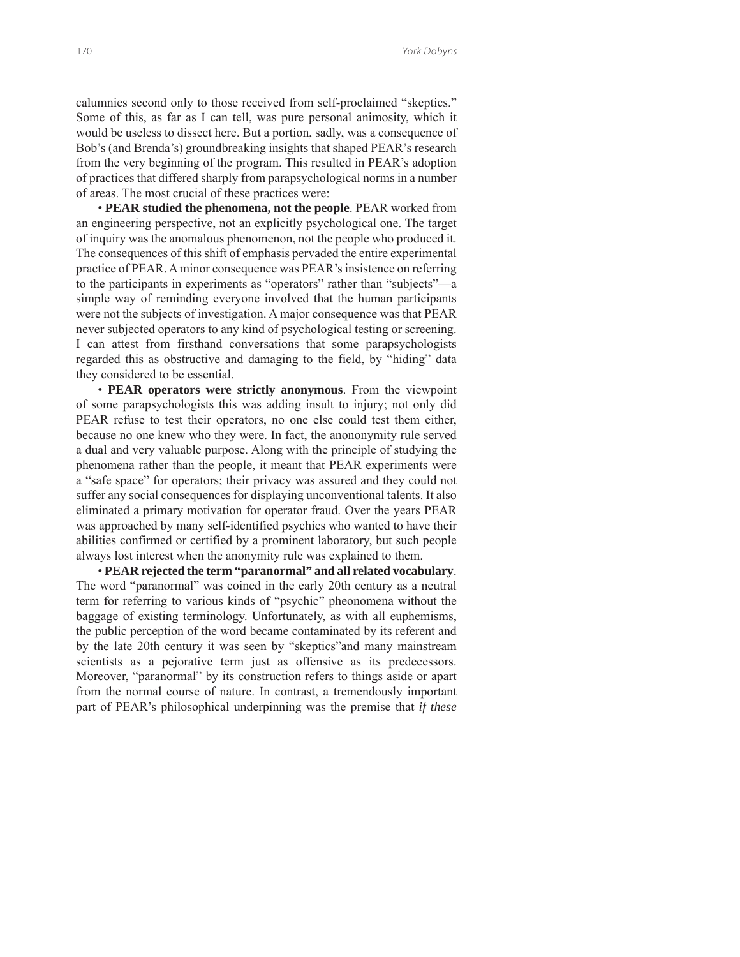calumnies second only to those received from self-proclaimed "skeptics." Some of this, as far as I can tell, was pure personal animosity, which it would be useless to dissect here. But a portion, sadly, was a consequence of Bob's (and Brenda's) groundbreaking insights that shaped PEAR's research from the very beginning of the program. This resulted in PEAR's adoption of practices that differed sharply from parapsychological norms in a number of areas. The most crucial of these practices were:

• **PEAR studied the phenomena, not the people**. PEAR worked from an engineering perspective, not an explicitly psychological one. The target of inquiry was the anomalous phenomenon, not the people who produced it. The consequences of this shift of emphasis pervaded the entire experimental practice of PEAR. A minor consequence was PEAR's insistence on referring to the participants in experiments as "operators" rather than "subjects"—a simple way of reminding everyone involved that the human participants were not the subjects of investigation. A major consequence was that PEAR never subjected operators to any kind of psychological testing or screening. I can attest from firsthand conversations that some parapsychologists regarded this as obstructive and damaging to the field, by "hiding" data they considered to be essential.

• **PEAR operators were strictly anonymous**. From the viewpoint of some parapsychologists this was adding insult to injury; not only did PEAR refuse to test their operators, no one else could test them either, because no one knew who they were. In fact, the anononymity rule served a dual and very valuable purpose. Along with the principle of studying the phenomena rather than the people, it meant that PEAR experiments were a "safe space" for operators; their privacy was assured and they could not suffer any social consequences for displaying unconventional talents. It also eliminated a primary motivation for operator fraud. Over the years PEAR was approached by many self-identified psychics who wanted to have their abilities confirmed or certified by a prominent laboratory, but such people always lost interest when the anonymity rule was explained to them.

• **PEAR rejected the term "paranormal" and all related vocabulary**. The word "paranormal" was coined in the early 20th century as a neutral term for referring to various kinds of "psychic" pheonomena without the baggage of existing terminology. Unfortunately, as with all euphemisms, the public perception of the word became contaminated by its referent and by the late 20th century it was seen by "skeptics"and many mainstream scientists as a pejorative term just as offensive as its predecessors. Moreover, "paranormal" by its construction refers to things aside or apart from the normal course of nature. In contrast, a tremendously important part of PEAR's philosophical underpinning was the premise that *if these*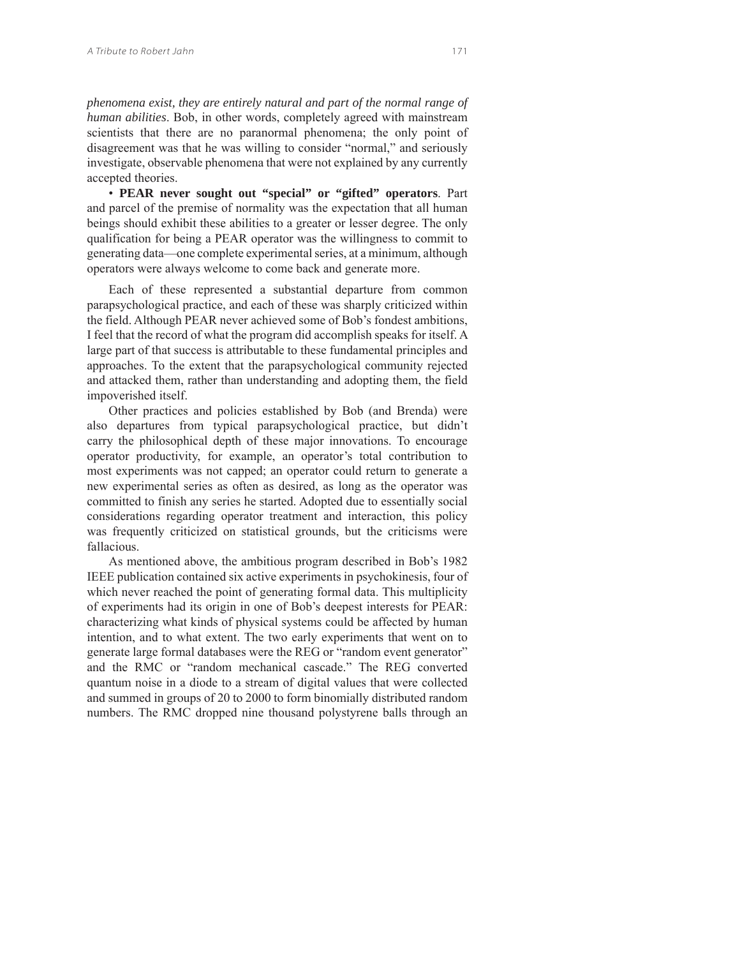*phenomena exist, they are entirely natural and part of the normal range of human abilities*. Bob, in other words, completely agreed with mainstream scientists that there are no paranormal phenomena; the only point of disagreement was that he was willing to consider "normal," and seriously investigate, observable phenomena that were not explained by any currently accepted theories.

• **PEAR never sought out "special" or "gifted" operators**. Part and parcel of the premise of normality was the expectation that all human beings should exhibit these abilities to a greater or lesser degree. The only qualification for being a PEAR operator was the willingness to commit to generating data—one complete experimental series, at a minimum, although operators were always welcome to come back and generate more.

Each of these represented a substantial departure from common parapsychological practice, and each of these was sharply criticized within the field. Although PEAR never achieved some of Bob's fondest ambitions, I feel that the record of what the program did accomplish speaks for itself. A large part of that success is attributable to these fundamental principles and approaches. To the extent that the parapsychological community rejected and attacked them, rather than understanding and adopting them, the field impoverished itself.

Other practices and policies established by Bob (and Brenda) were also departures from typical parapsychological practice, but didn't carry the philosophical depth of these major innovations. To encourage operator productivity, for example, an operator's total contribution to most experiments was not capped; an operator could return to generate a new experimental series as often as desired, as long as the operator was committed to finish any series he started. Adopted due to essentially social considerations regarding operator treatment and interaction, this policy was frequently criticized on statistical grounds, but the criticisms were fallacious.

As mentioned above, the ambitious program described in Bob's 1982 IEEE publication contained six active experiments in psychokinesis, four of which never reached the point of generating formal data. This multiplicity of experiments had its origin in one of Bob's deepest interests for PEAR: characterizing what kinds of physical systems could be affected by human intention, and to what extent. The two early experiments that went on to generate large formal databases were the REG or "random event generator" and the RMC or "random mechanical cascade." The REG converted quantum noise in a diode to a stream of digital values that were collected and summed in groups of 20 to 2000 to form binomially distributed random numbers. The RMC dropped nine thousand polystyrene balls through an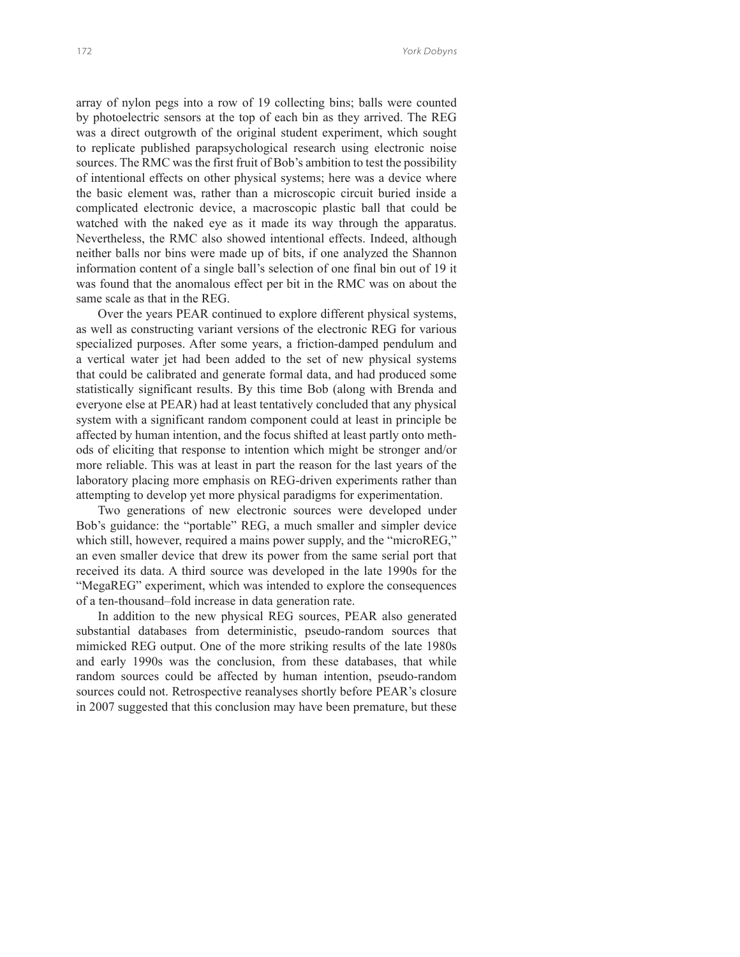array of nylon pegs into a row of 19 collecting bins; balls were counted by photoelectric sensors at the top of each bin as they arrived. The REG was a direct outgrowth of the original student experiment, which sought to replicate published parapsychological research using electronic noise sources. The RMC was the first fruit of Bob's ambition to test the possibility of intentional effects on other physical systems; here was a device where the basic element was, rather than a microscopic circuit buried inside a complicated electronic device, a macroscopic plastic ball that could be watched with the naked eye as it made its way through the apparatus. Nevertheless, the RMC also showed intentional effects. Indeed, although neither balls nor bins were made up of bits, if one analyzed the Shannon information content of a single ball's selection of one final bin out of 19 it was found that the anomalous effect per bit in the RMC was on about the same scale as that in the REG.

Over the years PEAR continued to explore different physical systems, as well as constructing variant versions of the electronic REG for various specialized purposes. After some years, a friction-damped pendulum and a vertical water jet had been added to the set of new physical systems that could be calibrated and generate formal data, and had produced some statistically significant results. By this time Bob (along with Brenda and everyone else at PEAR) had at least tentatively concluded that any physical system with a significant random component could at least in principle be affected by human intention, and the focus shifted at least partly onto methods of eliciting that response to intention which might be stronger and/or more reliable. This was at least in part the reason for the last years of the laboratory placing more emphasis on REG-driven experiments rather than attempting to develop yet more physical paradigms for experimentation.

Two generations of new electronic sources were developed under Bob's guidance: the "portable" REG, a much smaller and simpler device which still, however, required a mains power supply, and the "microREG," an even smaller device that drew its power from the same serial port that received its data. A third source was developed in the late 1990s for the "MegaREG" experiment, which was intended to explore the consequences of a ten-thousand–fold increase in data generation rate.

In addition to the new physical REG sources, PEAR also generated substantial databases from deterministic, pseudo-random sources that mimicked REG output. One of the more striking results of the late 1980s and early 1990s was the conclusion, from these databases, that while random sources could be affected by human intention, pseudo-random sources could not. Retrospective reanalyses shortly before PEAR's closure in 2007 suggested that this conclusion may have been premature, but these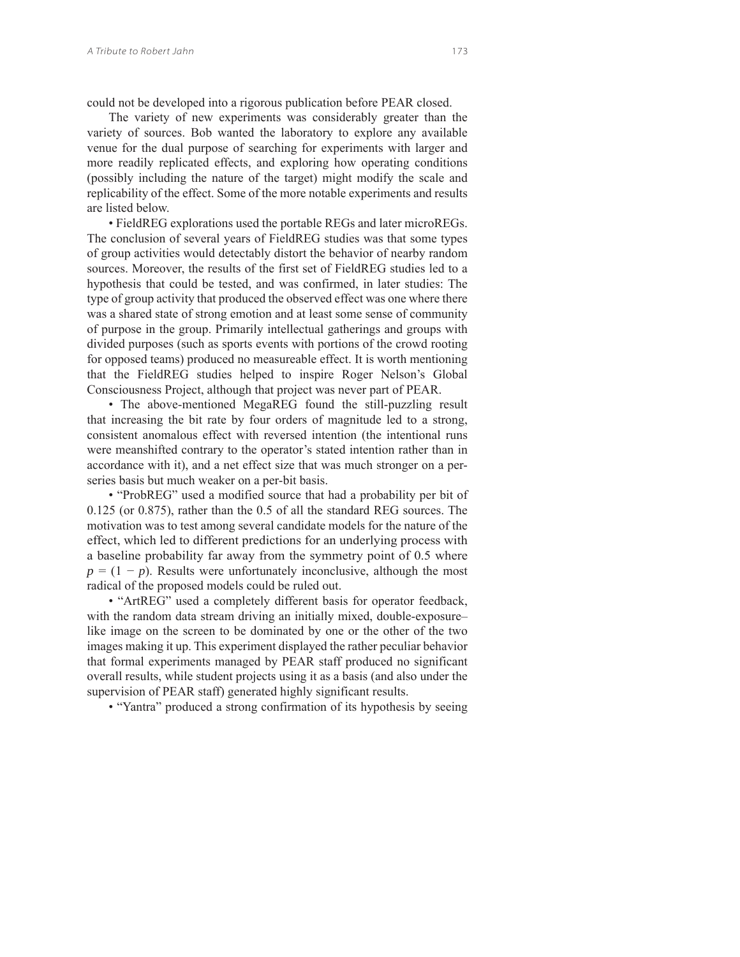could not be developed into a rigorous publication before PEAR closed.

The variety of new experiments was considerably greater than the variety of sources. Bob wanted the laboratory to explore any available venue for the dual purpose of searching for experiments with larger and more readily replicated effects, and exploring how operating conditions (possibly including the nature of the target) might modify the scale and replicability of the effect. Some of the more notable experiments and results are listed below.

• FieldREG explorations used the portable REGs and later microREGs. The conclusion of several years of FieldREG studies was that some types of group activities would detectably distort the behavior of nearby random sources. Moreover, the results of the first set of FieldREG studies led to a hypothesis that could be tested, and was confirmed, in later studies: The type of group activity that produced the observed effect was one where there was a shared state of strong emotion and at least some sense of community of purpose in the group. Primarily intellectual gatherings and groups with divided purposes (such as sports events with portions of the crowd rooting for opposed teams) produced no measureable effect. It is worth mentioning that the FieldREG studies helped to inspire Roger Nelson's Global Consciousness Project, although that project was never part of PEAR.

• The above-mentioned MegaREG found the still-puzzling result that increasing the bit rate by four orders of magnitude led to a strong, consistent anomalous effect with reversed intention (the intentional runs were meanshifted contrary to the operator's stated intention rather than in accordance with it), and a net effect size that was much stronger on a perseries basis but much weaker on a per-bit basis.

• "ProbREG" used a modified source that had a probability per bit of 0.125 (or 0.875), rather than the 0.5 of all the standard REG sources. The motivation was to test among several candidate models for the nature of the effect, which led to different predictions for an underlying process with a baseline probability far away from the symmetry point of 0.5 where  $p = (1 - p)$ . Results were unfortunately inconclusive, although the most radical of the proposed models could be ruled out.

• "ArtREG" used a completely different basis for operator feedback, with the random data stream driving an initially mixed, double-exposure– like image on the screen to be dominated by one or the other of the two images making it up. This experiment displayed the rather peculiar behavior that formal experiments managed by PEAR staff produced no significant overall results, while student projects using it as a basis (and also under the supervision of PEAR staff) generated highly significant results.

• "Yantra" produced a strong confirmation of its hypothesis by seeing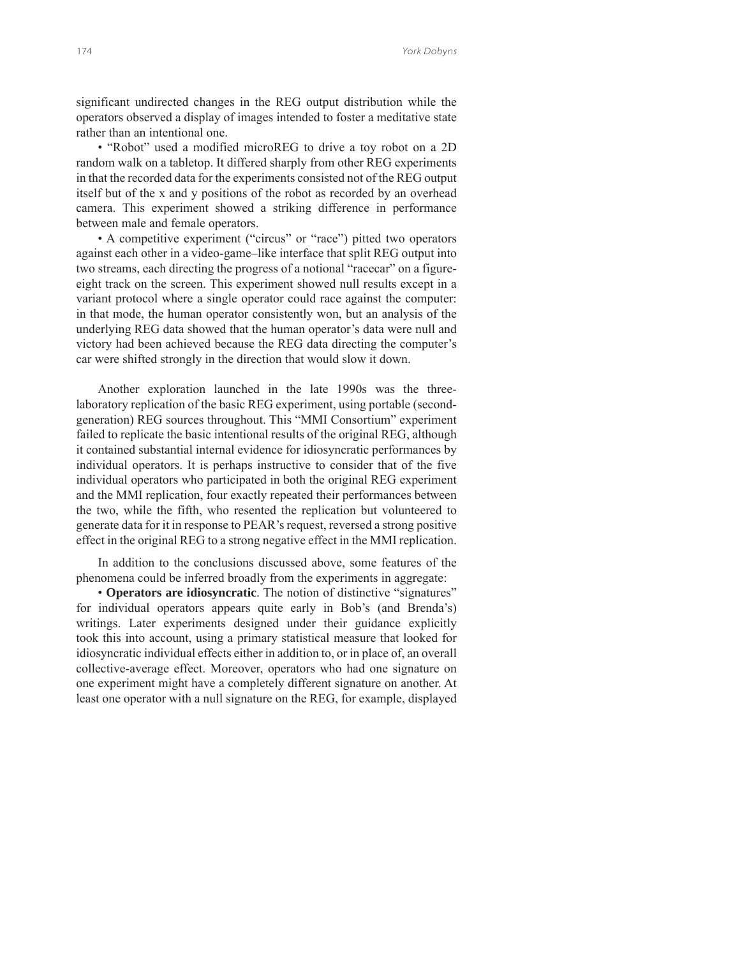significant undirected changes in the REG output distribution while the operators observed a display of images intended to foster a meditative state rather than an intentional one.

• "Robot" used a modified microREG to drive a toy robot on a 2D random walk on a tabletop. It differed sharply from other REG experiments in that the recorded data for the experiments consisted not of the REG output itself but of the x and y positions of the robot as recorded by an overhead camera. This experiment showed a striking difference in performance between male and female operators.

• A competitive experiment ("circus" or "race") pitted two operators against each other in a video-game–like interface that split REG output into two streams, each directing the progress of a notional "racecar" on a figureeight track on the screen. This experiment showed null results except in a variant protocol where a single operator could race against the computer: in that mode, the human operator consistently won, but an analysis of the underlying REG data showed that the human operator's data were null and victory had been achieved because the REG data directing the computer's car were shifted strongly in the direction that would slow it down.

Another exploration launched in the late 1990s was the threelaboratory replication of the basic REG experiment, using portable (secondgeneration) REG sources throughout. This "MMI Consortium" experiment failed to replicate the basic intentional results of the original REG, although it contained substantial internal evidence for idiosyncratic performances by individual operators. It is perhaps instructive to consider that of the five individual operators who participated in both the original REG experiment and the MMI replication, four exactly repeated their performances between the two, while the fifth, who resented the replication but volunteered to generate data for it in response to PEAR's request, reversed a strong positive effect in the original REG to a strong negative effect in the MMI replication.

In addition to the conclusions discussed above, some features of the phenomena could be inferred broadly from the experiments in aggregate:

• **Operators are idiosyncratic**. The notion of distinctive "signatures" for individual operators appears quite early in Bob's (and Brenda's) writings. Later experiments designed under their guidance explicitly took this into account, using a primary statistical measure that looked for idiosyncratic individual effects either in addition to, or in place of, an overall collective-average effect. Moreover, operators who had one signature on one experiment might have a completely different signature on another. At least one operator with a null signature on the REG, for example, displayed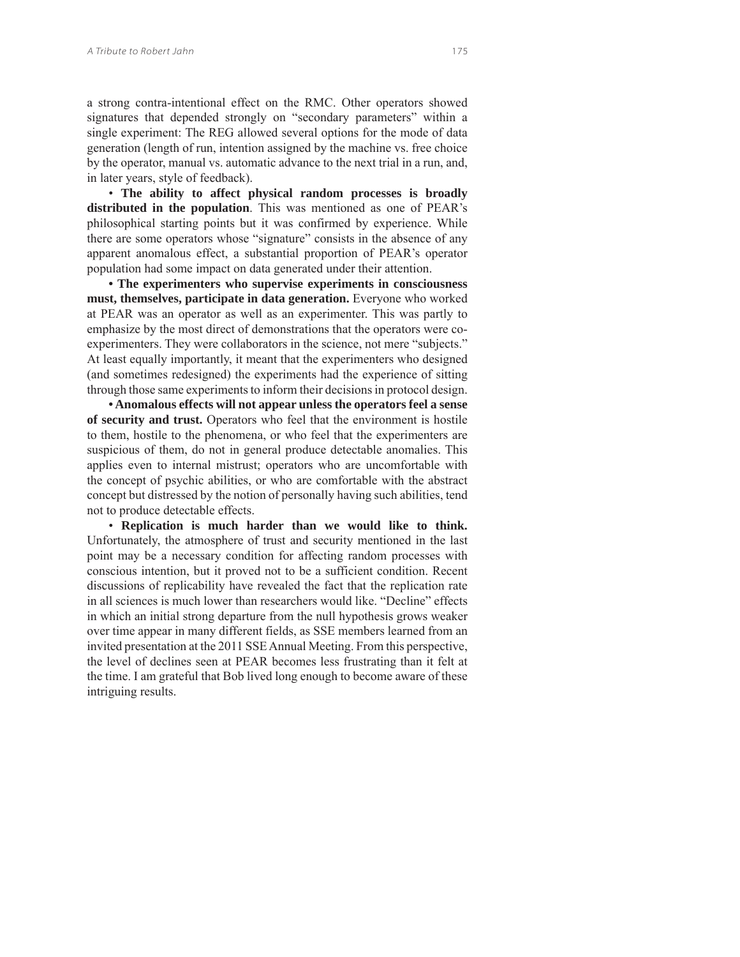a strong contra-intentional effect on the RMC. Other operators showed signatures that depended strongly on "secondary parameters" within a single experiment: The REG allowed several options for the mode of data generation (length of run, intention assigned by the machine vs. free choice by the operator, manual vs. automatic advance to the next trial in a run, and, in later years, style of feedback).

• **The ability to affect physical random processes is broadly distributed in the population**. This was mentioned as one of PEAR's philosophical starting points but it was confirmed by experience. While there are some operators whose "signature" consists in the absence of any apparent anomalous effect, a substantial proportion of PEAR's operator population had some impact on data generated under their attention.

**• The experimenters who supervise experiments in consciousness must, themselves, participate in data generation.** Everyone who worked at PEAR was an operator as well as an experimenter. This was partly to emphasize by the most direct of demonstrations that the operators were coexperimenters. They were collaborators in the science, not mere "subjects." At least equally importantly, it meant that the experimenters who designed (and sometimes redesigned) the experiments had the experience of sitting through those same experiments to inform their decisions in protocol design.

**• Anomalous effects will not appear unless the operators feel a sense of security and trust.** Operators who feel that the environment is hostile to them, hostile to the phenomena, or who feel that the experimenters are suspicious of them, do not in general produce detectable anomalies. This applies even to internal mistrust; operators who are uncomfortable with the concept of psychic abilities, or who are comfortable with the abstract concept but distressed by the notion of personally having such abilities, tend not to produce detectable effects.

• **Replication is much harder than we would like to think.** Unfortunately, the atmosphere of trust and security mentioned in the last point may be a necessary condition for affecting random processes with conscious intention, but it proved not to be a sufficient condition. Recent discussions of replicability have revealed the fact that the replication rate in all sciences is much lower than researchers would like. "Decline" effects in which an initial strong departure from the null hypothesis grows weaker over time appear in many different fields, as SSE members learned from an invited presentation at the 2011 SSE Annual Meeting. From this perspective, the level of declines seen at PEAR becomes less frustrating than it felt at the time. I am grateful that Bob lived long enough to become aware of these intriguing results.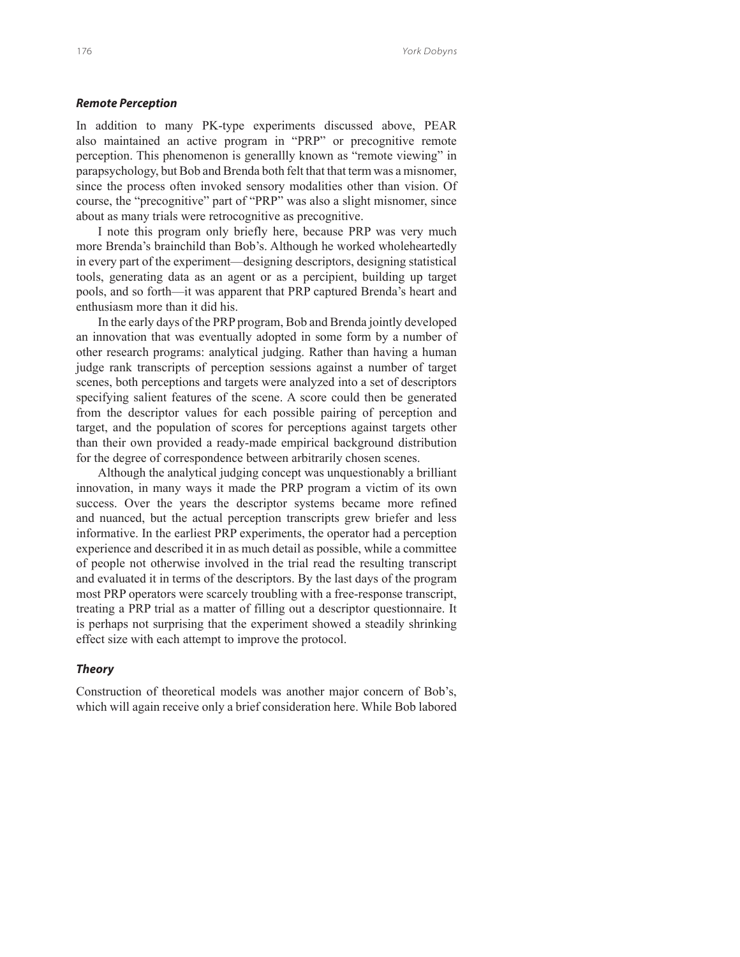### *Remote Perception*

In addition to many PK-type experiments discussed above, PEAR also maintained an active program in "PRP" or precognitive remote perception. This phenomenon is generallly known as "remote viewing" in parapsychology, but Bob and Brenda both felt that that term was a misnomer, since the process often invoked sensory modalities other than vision. Of course, the "precognitive" part of "PRP" was also a slight misnomer, since about as many trials were retrocognitive as precognitive.

I note this program only briefly here, because PRP was very much more Brenda's brainchild than Bob's. Although he worked wholeheartedly in every part of the experiment—designing descriptors, designing statistical tools, generating data as an agent or as a percipient, building up target pools, and so forth—it was apparent that PRP captured Brenda's heart and enthusiasm more than it did his.

In the early days of the PRP program, Bob and Brenda jointly developed an innovation that was eventually adopted in some form by a number of other research programs: analytical judging. Rather than having a human judge rank transcripts of perception sessions against a number of target scenes, both perceptions and targets were analyzed into a set of descriptors specifying salient features of the scene. A score could then be generated from the descriptor values for each possible pairing of perception and target, and the population of scores for perceptions against targets other than their own provided a ready-made empirical background distribution for the degree of correspondence between arbitrarily chosen scenes.

Although the analytical judging concept was unquestionably a brilliant innovation, in many ways it made the PRP program a victim of its own success. Over the years the descriptor systems became more refined and nuanced, but the actual perception transcripts grew briefer and less informative. In the earliest PRP experiments, the operator had a perception experience and described it in as much detail as possible, while a committee of people not otherwise involved in the trial read the resulting transcript and evaluated it in terms of the descriptors. By the last days of the program most PRP operators were scarcely troubling with a free-response transcript, treating a PRP trial as a matter of filling out a descriptor questionnaire. It is perhaps not surprising that the experiment showed a steadily shrinking effect size with each attempt to improve the protocol.

#### *Theory*

Construction of theoretical models was another major concern of Bob's, which will again receive only a brief consideration here. While Bob labored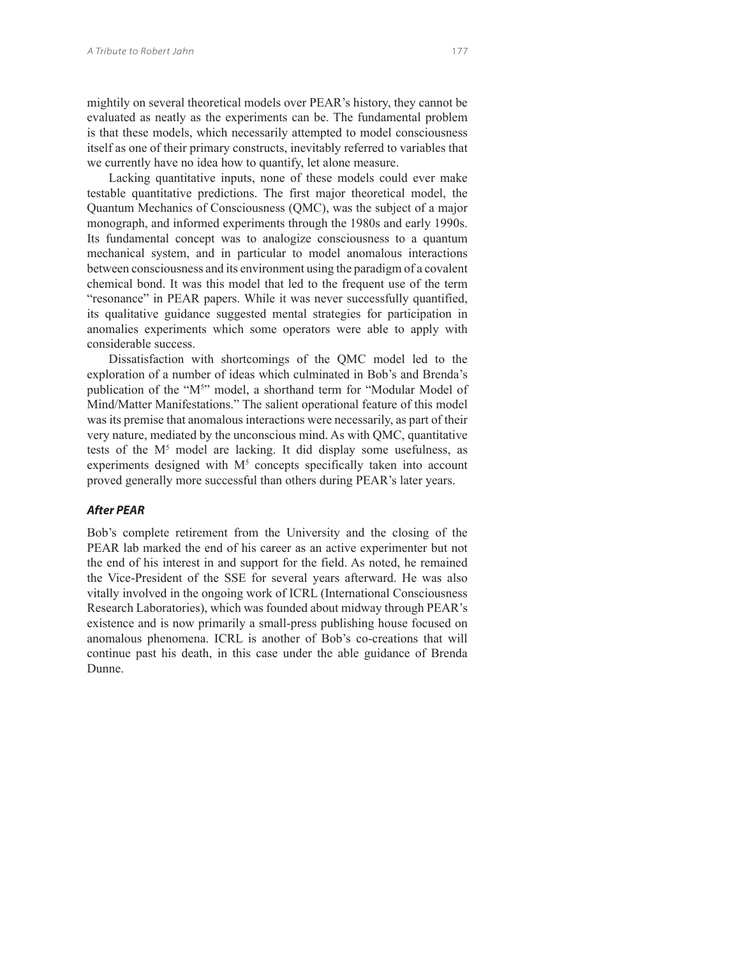mightily on several theoretical models over PEAR's history, they cannot be evaluated as neatly as the experiments can be. The fundamental problem is that these models, which necessarily attempted to model consciousness itself as one of their primary constructs, inevitably referred to variables that we currently have no idea how to quantify, let alone measure.

Lacking quantitative inputs, none of these models could ever make testable quantitative predictions. The first major theoretical model, the Quantum Mechanics of Consciousness (QMC), was the subject of a major monograph, and informed experiments through the 1980s and early 1990s. Its fundamental concept was to analogize consciousness to a quantum mechanical system, and in particular to model anomalous interactions between consciousness and its environment using the paradigm of a covalent chemical bond. It was this model that led to the frequent use of the term "resonance" in PEAR papers. While it was never successfully quantified, its qualitative guidance suggested mental strategies for participation in anomalies experiments which some operators were able to apply with considerable success.

Dissatisfaction with shortcomings of the QMC model led to the exploration of a number of ideas which culminated in Bob's and Brenda's publication of the "M<sup>5</sup>" model, a shorthand term for "Modular Model of Mind/Matter Manifestations." The salient operational feature of this model was its premise that anomalous interactions were necessarily, as part of their very nature, mediated by the unconscious mind. As with QMC, quantitative tests of the M<sup>5</sup> model are lacking. It did display some usefulness, as experiments designed with  $M<sup>5</sup>$  concepts specifically taken into account proved generally more successful than others during PEAR's later years.

### *After PEAR*

Bob's complete retirement from the University and the closing of the PEAR lab marked the end of his career as an active experimenter but not the end of his interest in and support for the field. As noted, he remained the Vice-President of the SSE for several years afterward. He was also vitally involved in the ongoing work of ICRL (International Consciousness Research Laboratories), which was founded about midway through PEAR's existence and is now primarily a small-press publishing house focused on anomalous phenomena. ICRL is another of Bob's co-creations that will continue past his death, in this case under the able guidance of Brenda Dunne.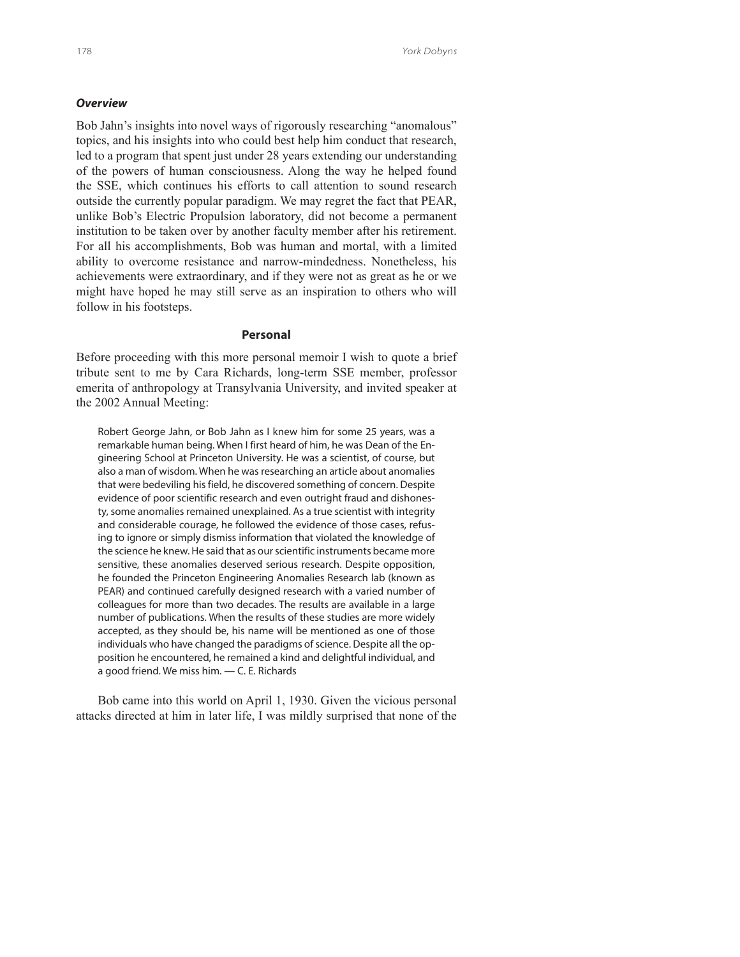## *Overview*

Bob Jahn's insights into novel ways of rigorously researching "anomalous" topics, and his insights into who could best help him conduct that research, led to a program that spent just under 28 years extending our understanding of the powers of human consciousness. Along the way he helped found the SSE, which continues his efforts to call attention to sound research outside the currently popular paradigm. We may regret the fact that PEAR, unlike Bob's Electric Propulsion laboratory, did not become a permanent institution to be taken over by another faculty member after his retirement. For all his accomplishments, Bob was human and mortal, with a limited ability to overcome resistance and narrow-mindedness. Nonetheless, his achievements were extraordinary, and if they were not as great as he or we might have hoped he may still serve as an inspiration to others who will follow in his footsteps.

#### **Personal**

Before proceeding with this more personal memoir I wish to quote a brief tribute sent to me by Cara Richards, long-term SSE member, professor emerita of anthropology at Transylvania University, and invited speaker at the 2002 Annual Meeting:

Robert George Jahn, or Bob Jahn as I knew him for some 25 years, was a remarkable human being. When I first heard of him, he was Dean of the Engineering School at Princeton University. He was a scientist, of course, but also a man of wisdom. When he was researching an article about anomalies that were bedeviling his field, he discovered something of concern. Despite evidence of poor scientific research and even outright fraud and dishonesty, some anomalies remained unexplained. As a true scientist with integrity and considerable courage, he followed the evidence of those cases, refusing to ignore or simply dismiss information that violated the knowledge of the science he knew. He said that as our scientific instruments became more sensitive, these anomalies deserved serious research. Despite opposition, he founded the Princeton Engineering Anomalies Research lab (known as PEAR) and continued carefully designed research with a varied number of colleagues for more than two decades. The results are available in a large number of publications. When the results of these studies are more widely accepted, as they should be, his name will be mentioned as one of those individuals who have changed the paradigms of science. Despite all the opposition he encountered, he remained a kind and delightful individual, and a good friend. We miss him. — C. E. Richards

Bob came into this world on April 1, 1930. Given the vicious personal attacks directed at him in later life, I was mildly surprised that none of the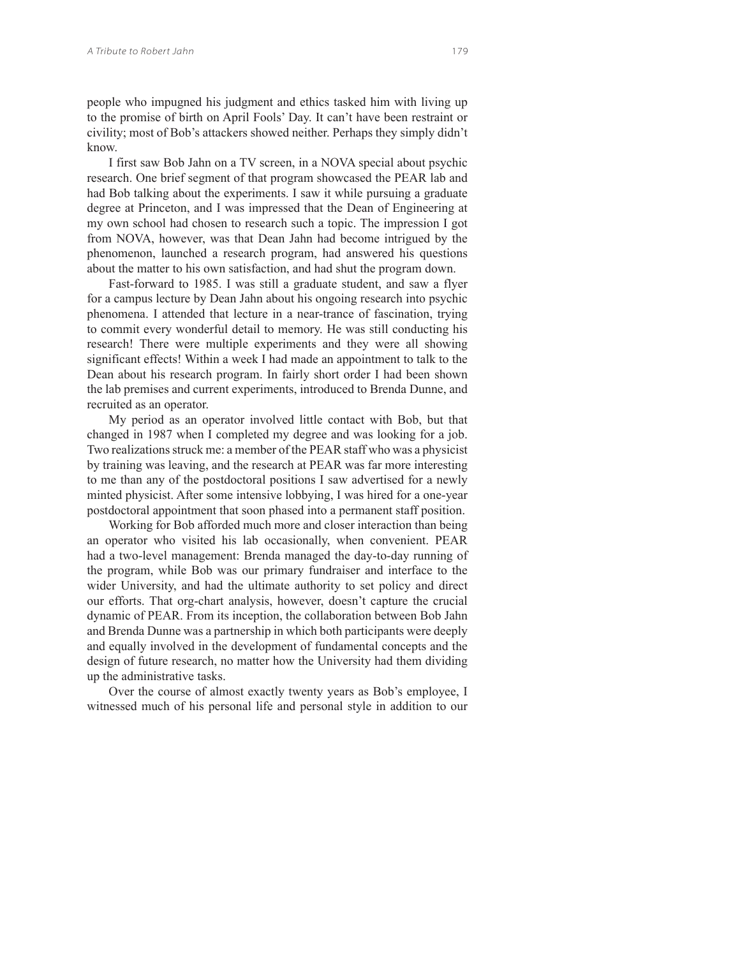people who impugned his judgment and ethics tasked him with living up to the promise of birth on April Fools' Day. It can't have been restraint or civility; most of Bob's attackers showed neither. Perhaps they simply didn't know.

I first saw Bob Jahn on a TV screen, in a NOVA special about psychic research. One brief segment of that program showcased the PEAR lab and had Bob talking about the experiments. I saw it while pursuing a graduate degree at Princeton, and I was impressed that the Dean of Engineering at my own school had chosen to research such a topic. The impression I got from NOVA, however, was that Dean Jahn had become intrigued by the phenomenon, launched a research program, had answered his questions about the matter to his own satisfaction, and had shut the program down.

Fast-forward to 1985. I was still a graduate student, and saw a flyer for a campus lecture by Dean Jahn about his ongoing research into psychic phenomena. I attended that lecture in a near-trance of fascination, trying to commit every wonderful detail to memory. He was still conducting his research! There were multiple experiments and they were all showing significant effects! Within a week I had made an appointment to talk to the Dean about his research program. In fairly short order I had been shown the lab premises and current experiments, introduced to Brenda Dunne, and recruited as an operator.

My period as an operator involved little contact with Bob, but that changed in 1987 when I completed my degree and was looking for a job. Two realizations struck me: a member of the PEAR staff who was a physicist by training was leaving, and the research at PEAR was far more interesting to me than any of the postdoctoral positions I saw advertised for a newly minted physicist. After some intensive lobbying, I was hired for a one-year postdoctoral appointment that soon phased into a permanent staff position.

Working for Bob afforded much more and closer interaction than being an operator who visited his lab occasionally, when convenient. PEAR had a two-level management: Brenda managed the day-to-day running of the program, while Bob was our primary fundraiser and interface to the wider University, and had the ultimate authority to set policy and direct our efforts. That org-chart analysis, however, doesn't capture the crucial dynamic of PEAR. From its inception, the collaboration between Bob Jahn and Brenda Dunne was a partnership in which both participants were deeply and equally involved in the development of fundamental concepts and the design of future research, no matter how the University had them dividing up the administrative tasks.

Over the course of almost exactly twenty years as Bob's employee, I witnessed much of his personal life and personal style in addition to our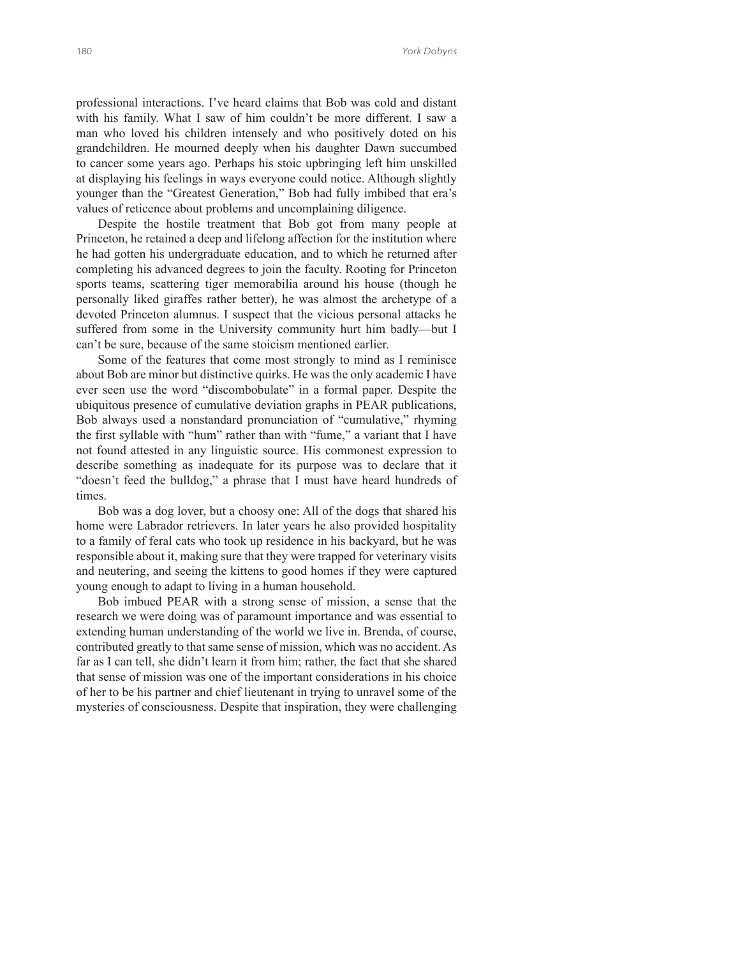professional interactions. I've heard claims that Bob was cold and distant with his family. What I saw of him couldn't be more different. I saw a man who loved his children intensely and who positively doted on his grandchildren. He mourned deeply when his daughter Dawn succumbed to cancer some years ago. Perhaps his stoic upbringing left him unskilled at displaying his feelings in ways everyone could notice. Although slightly younger than the "Greatest Generation," Bob had fully imbibed that era's values of reticence about problems and uncomplaining diligence.

Despite the hostile treatment that Bob got from many people at Princeton, he retained a deep and lifelong affection for the institution where he had gotten his undergraduate education, and to which he returned after completing his advanced degrees to join the faculty. Rooting for Princeton sports teams, scattering tiger memorabilia around his house (though he personally liked giraffes rather better), he was almost the archetype of a devoted Princeton alumnus. I suspect that the vicious personal attacks he suffered from some in the University community hurt him badly—but I can't be sure, because of the same stoicism mentioned earlier.

Some of the features that come most strongly to mind as I reminisce about Bob are minor but distinctive quirks. He was the only academic I have ever seen use the word "discombobulate" in a formal paper. Despite the ubiquitous presence of cumulative deviation graphs in PEAR publications, Bob always used a nonstandard pronunciation of "cumulative," rhyming the first syllable with "hum" rather than with "fume," a variant that I have not found attested in any linguistic source. His commonest expression to describe something as inadequate for its purpose was to declare that it "doesn't feed the bulldog," a phrase that I must have heard hundreds of times.

Bob was a dog lover, but a choosy one: All of the dogs that shared his home were Labrador retrievers. In later years he also provided hospitality to a family of feral cats who took up residence in his backyard, but he was responsible about it, making sure that they were trapped for veterinary visits and neutering, and seeing the kittens to good homes if they were captured young enough to adapt to living in a human household.

Bob imbued PEAR with a strong sense of mission, a sense that the research we were doing was of paramount importance and was essential to extending human understanding of the world we live in. Brenda, of course, contributed greatly to that same sense of mission, which was no accident. As far as I can tell, she didn't learn it from him; rather, the fact that she shared that sense of mission was one of the important considerations in his choice of her to be his partner and chief lieutenant in trying to unravel some of the mysteries of consciousness. Despite that inspiration, they were challenging